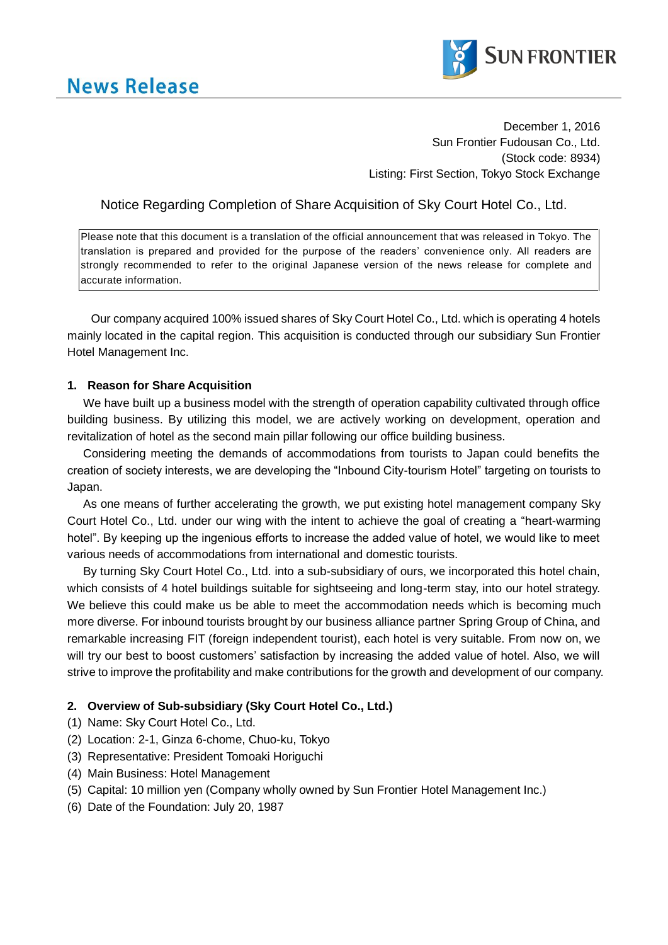

December 1, 2016 Sun Frontier Fudousan Co., Ltd. (Stock code: 8934) Listing: First Section, Tokyo Stock Exchange

# Notice Regarding Completion of Share Acquisition of Sky Court Hotel Co., Ltd.

Please note that this document is a translation of the official announcement that was released in Tokyo. The translation is prepared and provided for the purpose of the readers' convenience only. All readers are strongly recommended to refer to the original Japanese version of the news release for complete and accurate information.

Our company acquired 100% issued shares of Sky Court Hotel Co., Ltd. which is operating 4 hotels mainly located in the capital region. This acquisition is conducted through our subsidiary Sun Frontier Hotel Management Inc.

### **1. Reason for Share Acquisition**

We have built up a business model with the strength of operation capability cultivated through office building business. By utilizing this model, we are actively working on development, operation and revitalization of hotel as the second main pillar following our office building business.

Considering meeting the demands of accommodations from tourists to Japan could benefits the creation of society interests, we are developing the "Inbound City-tourism Hotel" targeting on tourists to Japan.

As one means of further accelerating the growth, we put existing hotel management company Sky Court Hotel Co., Ltd. under our wing with the intent to achieve the goal of creating a "heart-warming hotel". By keeping up the ingenious efforts to increase the added value of hotel, we would like to meet various needs of accommodations from international and domestic tourists.

By turning Sky Court Hotel Co., Ltd. into a sub-subsidiary of ours, we incorporated this hotel chain, which consists of 4 hotel buildings suitable for sightseeing and long-term stay, into our hotel strategy. We believe this could make us be able to meet the accommodation needs which is becoming much more diverse. For inbound tourists brought by our business alliance partner Spring Group of China, and remarkable increasing FIT (foreign independent tourist), each hotel is very suitable. From now on, we will try our best to boost customers' satisfaction by increasing the added value of hotel. Also, we will strive to improve the profitability and make contributions for the growth and development of our company.

## **2. Overview of Sub-subsidiary (Sky Court Hotel Co., Ltd.)**

- (1) Name: Sky Court Hotel Co., Ltd.
- (2) Location: 2-1, Ginza 6-chome, Chuo-ku, Tokyo
- (3) Representative: President Tomoaki Horiguchi
- (4) Main Business: Hotel Management
- (5) Capital: 10 million yen (Company wholly owned by Sun Frontier Hotel Management Inc.)
- (6) Date of the Foundation: July 20, 1987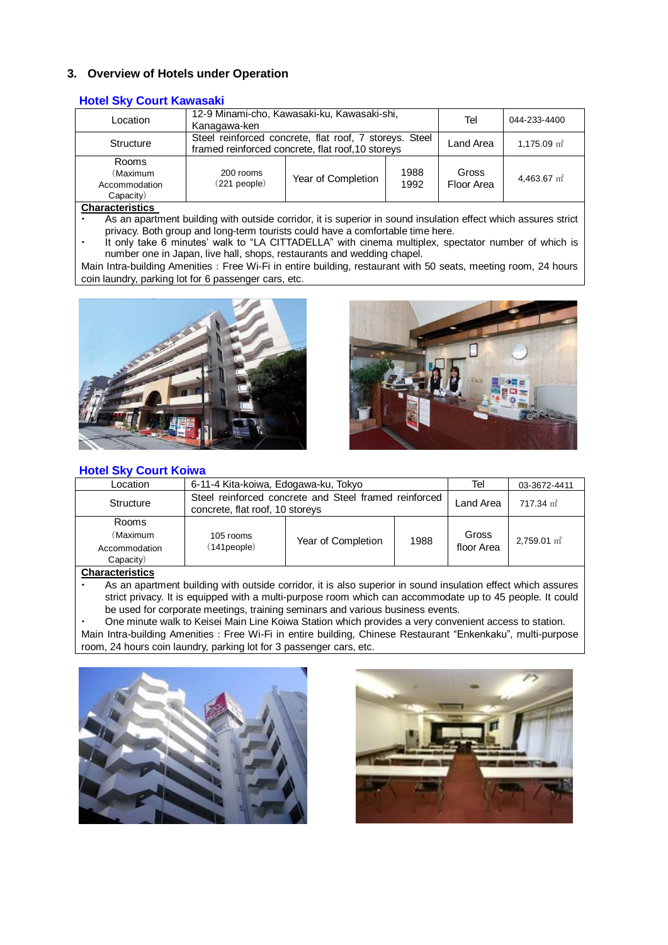## **3. Overview of Hotels under Operation**

### **Hotel Sky Court Kawasaki**

| Location                                        | 12-9 Minami-cho, Kawasaki-ku, Kawasaki-shi,<br>Kanagawa-ken                                                 |                    |              | Tel                 | 044-233-4400              |  |
|-------------------------------------------------|-------------------------------------------------------------------------------------------------------------|--------------------|--------------|---------------------|---------------------------|--|
| Structure                                       | Steel reinforced concrete, flat roof, 7 storeys. Steel<br>framed reinforced concrete, flat roof, 10 storeys |                    |              | Land Area           | $1,175.09$ m <sup>2</sup> |  |
| Rooms<br>(Maximum<br>Accommodation<br>Capacity) | 200 rooms<br>$(221)$ people)                                                                                | Year of Completion | 1988<br>1992 | Gross<br>Floor Area | 4,463.67 $m2$             |  |

#### **Characteristics**

- As an apartment building with outside corridor, it is superior in sound insulation effect which assures strict privacy. Both group and long-term tourists could have a comfortable time here.
- It only take 6 minutes' walk to "LA CITTADELLA" with cinema multiplex, spectator number of which is number one in Japan, live hall, shops, restaurants and wedding chapel.

Main Intra-building Amenities: Free Wi-Fi in entire building, restaurant with 50 seats, meeting room, 24 hours coin laundry, parking lot for 6 passenger cars, etc.





## **Hotel Sky Court Koiwa**

| Location                                        | 6-11-4 Kita-koiwa, Edogawa-ku, Tokyo                                                     |                    |      | Tel                 | 03-3672-4411           |
|-------------------------------------------------|------------------------------------------------------------------------------------------|--------------------|------|---------------------|------------------------|
| Structure                                       | Steel reinforced concrete and Steel framed reinforced<br>concrete, flat roof, 10 storeys |                    |      | Land Area           | $717.34 \text{ m}^2$   |
| Rooms<br>(Maximum<br>Accommodation<br>Capacity) | 105 rooms<br>$(141)$ people $)$                                                          | Year of Completion | 1988 | Gross<br>floor Area | $2.759.01 \text{ m}^2$ |

#### **Characteristics**

- As an apartment building with outside corridor, it is also superior in sound insulation effect which assures strict privacy. It is equipped with a multi-purpose room which can accommodate up to 45 people. It could be used for corporate meetings, training seminars and various business events.
- One minute walk to Keisei Main Line Koiwa Station which provides a very convenient access to station. Main Intra-building Amenities: Free Wi-Fi in entire building, Chinese Restaurant "Enkenkaku", multi-purpose room, 24 hours coin laundry, parking lot for 3 passenger cars, etc.



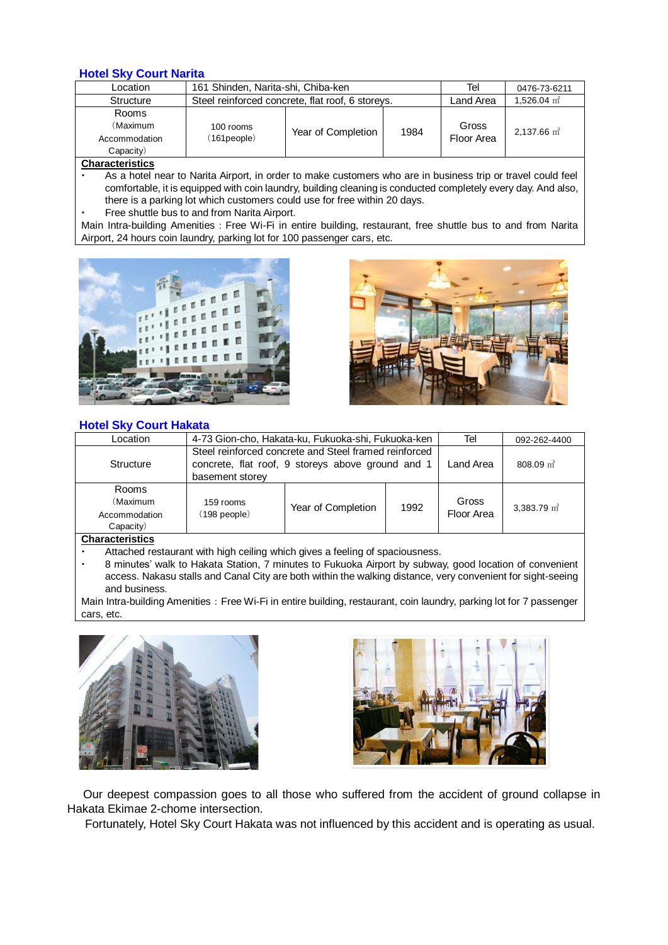### **Hotel Sky Court Narita**

| Location                                               | 161 Shinden, Narita-shi, Chiba-ken               |                    |      | Tel                 | 0476-73-6211              |
|--------------------------------------------------------|--------------------------------------------------|--------------------|------|---------------------|---------------------------|
| Structure                                              | Steel reinforced concrete, flat roof, 6 storeys. |                    |      | Land Area           | 1.526.04 $\text{m}^2$     |
| <b>Rooms</b><br>(Maximum<br>Accommodation<br>Capacity) | 100 rooms<br>(161people)                         | Year of Completion | 1984 | Gross<br>Floor Area | $2.137.66$ m <sup>2</sup> |
| $\sim$ $\sim$ $\sim$ $\sim$ $\sim$                     |                                                  |                    |      |                     |                           |

**Characteristics**

 As a hotel near to Narita Airport, in order to make customers who are in business trip or travel could feel comfortable, it is equipped with coin laundry, building cleaning is conducted completely every day. And also, there is a parking lot which customers could use for free within 20 days.

Free shuttle bus to and from Narita Airport.

Main Intra-building Amenities: Free Wi-Fi in entire building, restaurant, free shuttle bus to and from Narita Airport, 24 hours coin laundry, parking lot for 100 passenger cars, etc.





## **Hotel Sky Court Hakata**

| __                                              |                                                                                                                               |                    |      |                     |                      |
|-------------------------------------------------|-------------------------------------------------------------------------------------------------------------------------------|--------------------|------|---------------------|----------------------|
| Location                                        | 4-73 Gion-cho, Hakata-ku, Fukuoka-shi, Fukuoka-ken                                                                            |                    |      | Tel                 | 092-262-4400         |
| Structure                                       | Steel reinforced concrete and Steel framed reinforced<br>concrete, flat roof, 9 storeys above ground and 1<br>basement storey |                    |      | Land Area           | $808.09 \text{ m}^2$ |
| Rooms<br>(Maximum<br>Accommodation<br>Capacity) | 159 rooms<br>(198 people)                                                                                                     | Year of Completion | 1992 | Gross<br>Floor Area | 3.383.79 $m2$        |
| Characteriation                                 |                                                                                                                               |                    |      |                     |                      |

#### **Characteristics**

- Attached restaurant with high ceiling which gives a feeling of spaciousness.
- 8 minutes' walk to Hakata Station, 7 minutes to Fukuoka Airport by subway, good location of convenient access. Nakasu stalls and Canal City are both within the walking distance, very convenient for sight-seeing and business.

Main Intra-building Amenities: Free Wi-Fi in entire building, restaurant, coin laundry, parking lot for 7 passenger cars, etc.





Our deepest compassion goes to all those who suffered from the accident of ground collapse in Hakata Ekimae 2-chome intersection.

Fortunately, Hotel Sky Court Hakata was not influenced by this accident and is operating as usual.